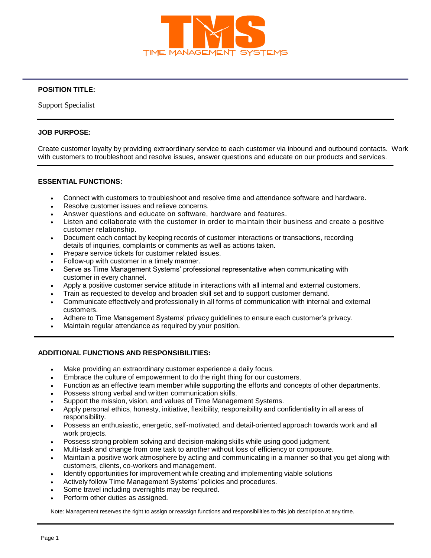

# **POSITION TITLE:**

Support Specialist

## **JOB PURPOSE:**

Create customer loyalty by providing extraordinary service to each customer via inbound and outbound contacts. Work with customers to troubleshoot and resolve issues, answer questions and educate on our products and services.

#### **ESSENTIAL FUNCTIONS:**

- Connect with customers to troubleshoot and resolve time and attendance software and hardware.
- Resolve customer issues and relieve concerns.
- Answer questions and educate on software, hardware and features.
- Listen and collaborate with the customer in order to maintain their business and create a positive customer relationship.
- Document each contact by keeping records of customer interactions or transactions, recording details of inquiries, complaints or comments as well as actions taken.
- Prepare service tickets for customer related issues.
- Follow-up with customer in a timely manner.
- Serve as Time Management Systems' professional representative when communicating with customer in every channel.
- Apply a positive customer service attitude in interactions with all internal and external customers.
- Train as requested to develop and broaden skill set and to support customer demand.
- Communicate effectively and professionally in all forms of communication with internal and external customers.
- Adhere to Time Management Systems' privacy guidelines to ensure each customer's privacy.
- Maintain regular attendance as required by your position.

## **ADDITIONAL FUNCTIONS AND RESPONSIBILITIES:**

- Make providing an extraordinary customer experience a daily focus.
- Embrace the culture of empowerment to do the right thing for our customers.
- Function as an effective team member while supporting the efforts and concepts of other departments.
- Possess strong verbal and written communication skills.
- Support the mission, vision, and values of Time Management Systems.
- Apply personal ethics, honesty, initiative, flexibility, responsibility and confidentiality in all areas of responsibility.
- Possess an enthusiastic, energetic, self-motivated, and detail-oriented approach towards work and all work projects.
- Possess strong problem solving and decision-making skills while using good judgment.
- Multi-task and change from one task to another without loss of efficiency or composure.
- Maintain a positive work atmosphere by acting and communicating in a manner so that you get along with customers, clients, co-workers and management.
- Identify opportunities for improvement while creating and implementing viable solutions
- Actively follow Time Management Systems' policies and procedures.
- Some travel including overnights may be required.
- Perform other duties as assigned.

Note: Management reserves the right to assign or reassign functions and responsibilities to this job description at any time.